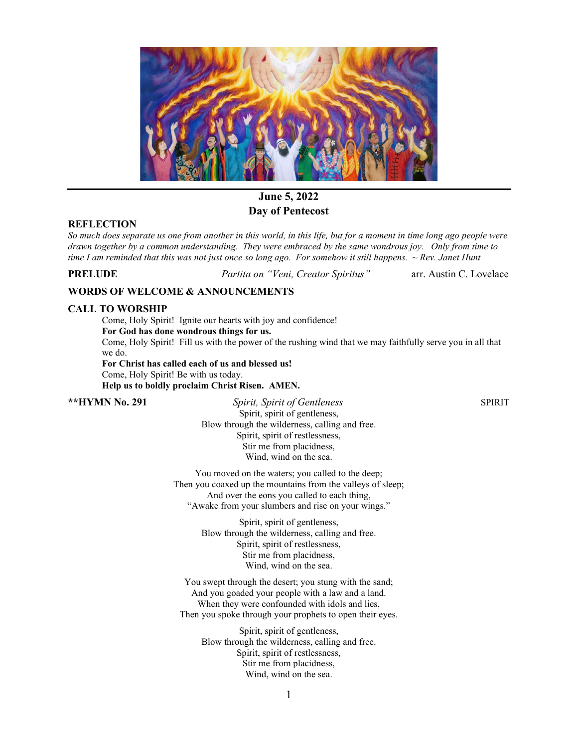

# **June 5, 2022 Day of Pentecost**

## **REFLECTION**

*So much does separate us one from another in this world, in this life, but for a moment in time long ago people were drawn together by a common understanding. They were embraced by the same wondrous joy. Only from time to time I am reminded that this was not just once so long ago. For somehow it still happens. ~ Rev. Janet Hunt*

**PRELUDE** *Partita on "Veni, Creator Spiritus"*arr. Austin C. Lovelace

## **WORDS OF WELCOME & ANNOUNCEMENTS**

## **CALL TO WORSHIP**

Come, Holy Spirit! Ignite our hearts with joy and confidence!

**For God has done wondrous things for us.**

Come, Holy Spirit! Fill us with the power of the rushing wind that we may faithfully serve you in all that we do.

**For Christ has called each of us and blessed us!** Come, Holy Spirit! Be with us today. **Help us to boldly proclaim Christ Risen. AMEN.**

**\*\*HYMN No. 291** *Spirit, Spirit of Gentleness* SPIRIT Spirit, spirit of gentleness, Blow through the wilderness, calling and free. Spirit, spirit of restlessness, Stir me from placidness, Wind, wind on the sea.

> You moved on the waters; you called to the deep; Then you coaxed up the mountains from the valleys of sleep; And over the eons you called to each thing, "Awake from your slumbers and rise on your wings."

> > Spirit, spirit of gentleness, Blow through the wilderness, calling and free. Spirit, spirit of restlessness, Stir me from placidness, Wind, wind on the sea.

You swept through the desert; you stung with the sand; And you goaded your people with a law and a land. When they were confounded with idols and lies, Then you spoke through your prophets to open their eyes.

Spirit, spirit of gentleness, Blow through the wilderness, calling and free. Spirit, spirit of restlessness, Stir me from placidness, Wind, wind on the sea.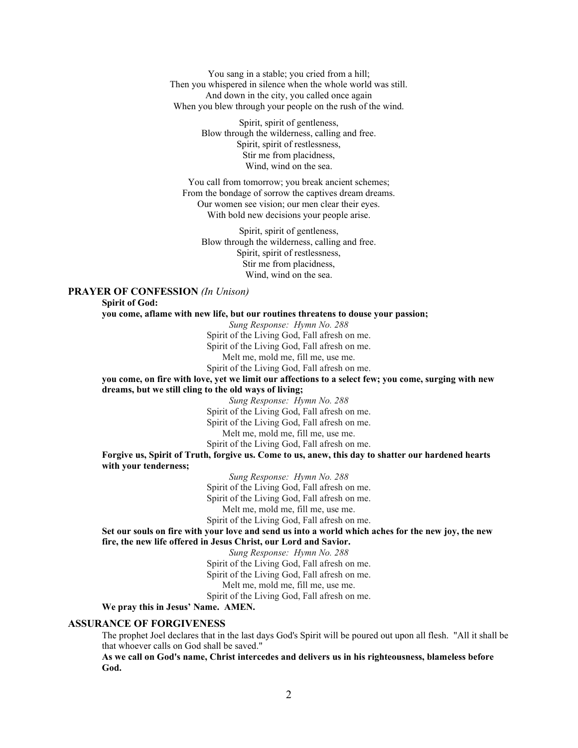You sang in a stable; you cried from a hill; Then you whispered in silence when the whole world was still. And down in the city, you called once again When you blew through your people on the rush of the wind.

> Spirit, spirit of gentleness, Blow through the wilderness, calling and free. Spirit, spirit of restlessness, Stir me from placidness, Wind, wind on the sea.

You call from tomorrow; you break ancient schemes; From the bondage of sorrow the captives dream dreams. Our women see vision; our men clear their eyes. With bold new decisions your people arise.

Spirit, spirit of gentleness, Blow through the wilderness, calling and free. Spirit, spirit of restlessness, Stir me from placidness, Wind, wind on the sea.

### **PRAYER OF CONFESSION** *(In Unison)*

**Spirit of God:**

**you come, aflame with new life, but our routines threatens to douse your passion;**

*Sung Response: Hymn No. 288*  Spirit of the Living God, Fall afresh on me. Spirit of the Living God, Fall afresh on me. Melt me, mold me, fill me, use me.

Spirit of the Living God, Fall afresh on me.

**you come, on fire with love, yet we limit our affections to a select few; you come, surging with new dreams, but we still cling to the old ways of living;**

*Sung Response: Hymn No. 288*  Spirit of the Living God, Fall afresh on me. Spirit of the Living God, Fall afresh on me. Melt me, mold me, fill me, use me. Spirit of the Living God, Fall afresh on me.

**Forgive us, Spirit of Truth, forgive us. Come to us, anew, this day to shatter our hardened hearts with your tenderness;**

*Sung Response: Hymn No. 288*  Spirit of the Living God, Fall afresh on me. Spirit of the Living God, Fall afresh on me. Melt me, mold me, fill me, use me. Spirit of the Living God, Fall afresh on me.

**Set our souls on fire with your love and send us into a world which aches for the new joy, the new fire, the new life offered in Jesus Christ, our Lord and Savior.**

> *Sung Response: Hymn No. 288*  Spirit of the Living God, Fall afresh on me.

> Spirit of the Living God, Fall afresh on me.

Melt me, mold me, fill me, use me.

Spirit of the Living God, Fall afresh on me.

**We pray this in Jesus' Name. AMEN.**

### **ASSURANCE OF FORGIVENESS**

The prophet Joel declares that in the last days God's Spirit will be poured out upon all flesh. "All it shall be that whoever calls on God shall be saved."

**As we call on God's name, Christ intercedes and delivers us in his righteousness, blameless before God.**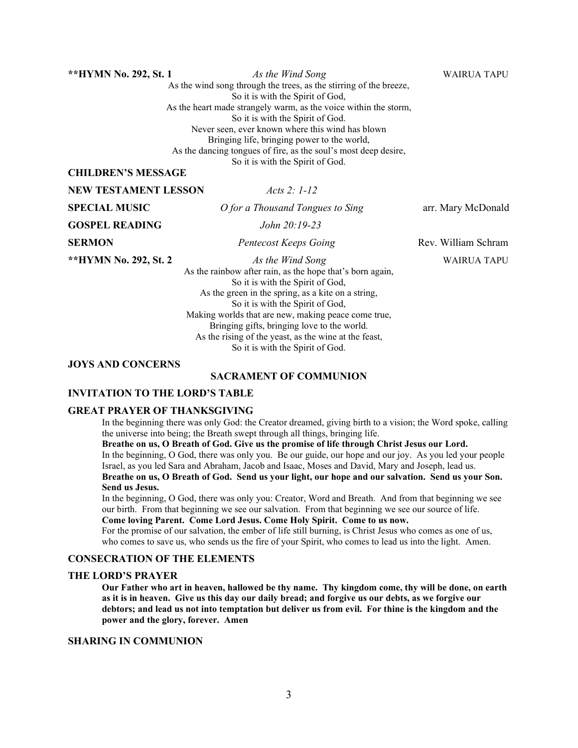**\*\*HYMN No. 292, St. 1** *As the Wind Song* WAIRUA TAPU As the wind song through the trees, as the stirring of the breeze, So it is with the Spirit of God, As the heart made strangely warm, as the voice within the storm, So it is with the Spirit of God. Never seen, ever known where this wind has blown Bringing life, bringing power to the world, As the dancing tongues of fire, as the soul's most deep desire, So it is with the Spirit of God.

## **CHILDREN'S MESSAGE**

**NEW TESTAMENT LESSON** *Acts 2: 1-12*

**SPECIAL MUSIC** *O for a Thousand Tongues to Sing* arr. Mary McDonald

**GOSPEL READING** *John 20:19-23*

**\*\*HYMN No. 292, St. 2** *As the Wind Song* WAIRUA TAPU

As the rainbow after rain, as the hope that's born again, So it is with the Spirit of God, As the green in the spring, as a kite on a string, So it is with the Spirit of God, Making worlds that are new, making peace come true, Bringing gifts, bringing love to the world. As the rising of the yeast, as the wine at the feast, So it is with the Spirit of God.

### **JOYS AND CONCERNS**

## **SACRAMENT OF COMMUNION**

#### **INVITATION TO THE LORD'S TABLE**

#### **GREAT PRAYER OF THANKSGIVING**

In the beginning there was only God: the Creator dreamed, giving birth to a vision; the Word spoke, calling the universe into being; the Breath swept through all things, bringing life.

**Breathe on us, O Breath of God. Give us the promise of life through Christ Jesus our Lord.** In the beginning, O God, there was only you. Be our guide, our hope and our joy. As you led your people Israel, as you led Sara and Abraham, Jacob and Isaac, Moses and David, Mary and Joseph, lead us. **Breathe on us, O Breath of God. Send us your light, our hope and our salvation. Send us your Son. Send us Jesus.**

In the beginning, O God, there was only you: Creator, Word and Breath. And from that beginning we see our birth. From that beginning we see our salvation. From that beginning we see our source of life.

# **Come loving Parent. Come Lord Jesus. Come Holy Spirit. Come to us now.**

For the promise of our salvation, the ember of life still burning, is Christ Jesus who comes as one of us, who comes to save us, who sends us the fire of your Spirit, who comes to lead us into the light. Amen.

#### **CONSECRATION OF THE ELEMENTS**

### **THE LORD'S PRAYER**

**Our Father who art in heaven, hallowed be thy name. Thy kingdom come, thy will be done, on earth as it is in heaven. Give us this day our daily bread; and forgive us our debts, as we forgive our debtors; and lead us not into temptation but deliver us from evil. For thine is the kingdom and the power and the glory, forever. Amen**

### **SHARING IN COMMUNION**

**SERMON** *Pentecost Keeps Going* **<b>Rev. William Schram**